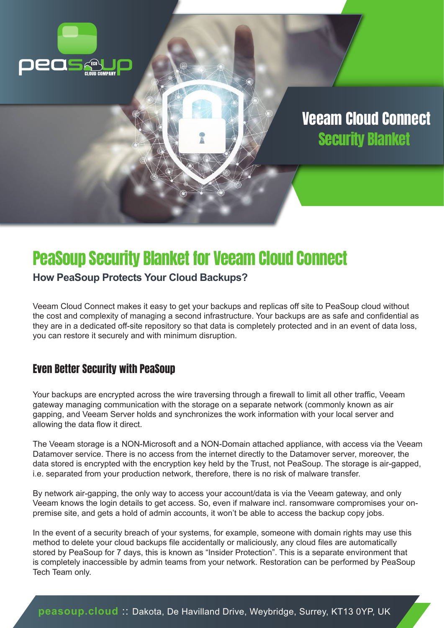

# PeaSoup Security Blanket for Veeam Cloud Connect

#### **How PeaSoup Protects Your Cloud Backups?**

Veeam Cloud Connect makes it easy to get your backups and replicas off site to PeaSoup cloud without the cost and complexity of managing a second infrastructure. Your backups are as safe and confidential as they are in a dedicated off-site repository so that data is completely protected and in an event of data loss, you can restore it securely and with minimum disruption.

#### Even Better Security with PeaSoup

Your backups are encrypted across the wire traversing through a firewall to limit all other traffic, Veeam gateway managing communication with the storage on a separate network (commonly known as air gapping, and Veeam Server holds and synchronizes the work information with your local server and allowing the data flow it direct.

The Veeam storage is a NON-Microsoft and a NON-Domain attached appliance, with access via the Veeam Datamover service. There is no access from the internet directly to the Datamover server, moreover, the data stored is encrypted with the encryption key held by the Trust, not PeaSoup. The storage is air-gapped, i.e. separated from your production network, therefore, there is no risk of malware transfer.

By network air-gapping, the only way to access your account/data is via the Veeam gateway, and only Veeam knows the login details to get access. So, even if malware incl. ransomware compromises your onpremise site, and gets a hold of admin accounts, it won't be able to access the backup copy jobs.

In the event of a security breach of your systems, for example, someone with domain rights may use this method to delete your cloud backups file accidentally or maliciously, any cloud files are automatically stored by PeaSoup for 7 days, this is known as "Insider Protection". This is a separate environment that is completely inaccessible by admin teams from your network. Restoration can be performed by PeaSoup Tech Team only.